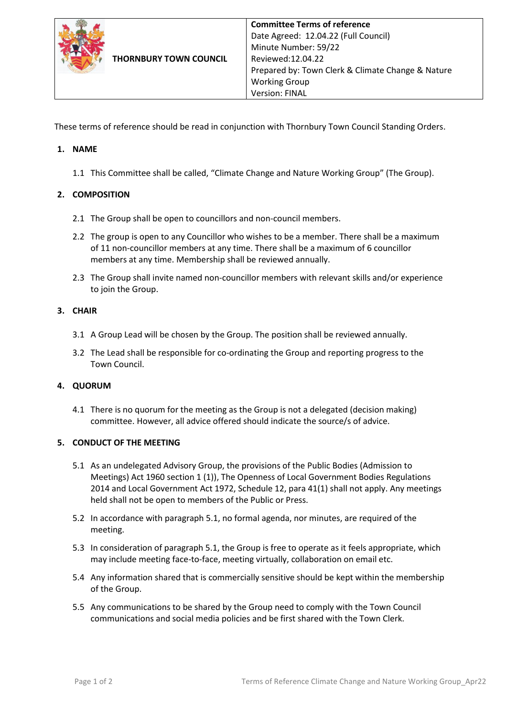

These terms of reference should be read in conjunction with Thornbury Town Council Standing Orders.

# **1. NAME**

1.1 This Committee shall be called, "Climate Change and Nature Working Group" (The Group).

## **2. COMPOSITION**

- 2.1 The Group shall be open to councillors and non-council members.
- 2.2 The group is open to any Councillor who wishes to be a member. There shall be a maximum of 11 non-councillor members at any time. There shall be a maximum of 6 councillor members at any time. Membership shall be reviewed annually.
- 2.3 The Group shall invite named non-councillor members with relevant skills and/or experience to join the Group.

## **3. CHAIR**

- 3.1 A Group Lead will be chosen by the Group. The position shall be reviewed annually.
- 3.2 The Lead shall be responsible for co-ordinating the Group and reporting progress to the Town Council.

## **4. QUORUM**

4.1 There is no quorum for the meeting as the Group is not a delegated (decision making) committee. However, all advice offered should indicate the source/s of advice.

## **5. CONDUCT OF THE MEETING**

- 5.1 As an undelegated Advisory Group, the provisions of the Public Bodies (Admission to Meetings) Act 1960 section 1 (1)), The Openness of Local Government Bodies Regulations 2014 and Local Government Act 1972, Schedule 12, para 41(1) shall not apply. Any meetings held shall not be open to members of the Public or Press.
- 5.2 In accordance with paragraph 5.1, no formal agenda, nor minutes, are required of the meeting.
- 5.3 In consideration of paragraph 5.1, the Group is free to operate as it feels appropriate, which may include meeting face-to-face, meeting virtually, collaboration on email etc.
- 5.4 Any information shared that is commercially sensitive should be kept within the membership of the Group.
- 5.5 Any communications to be shared by the Group need to comply with the Town Council communications and social media policies and be first shared with the Town Clerk.